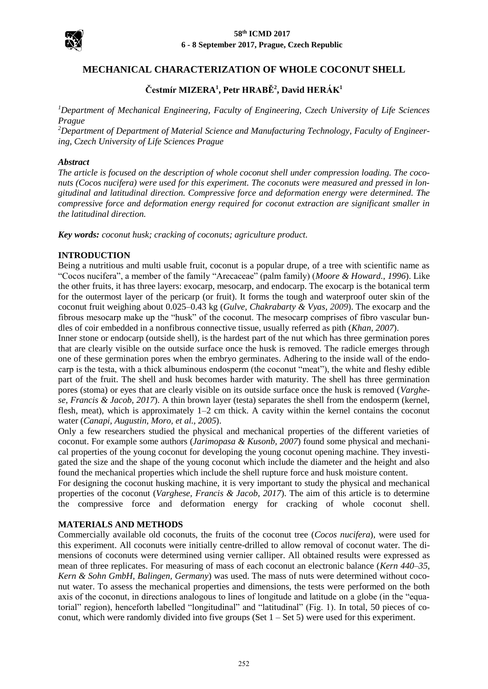

#### **58th ICMD 2017 6 - 8 September 2017, Prague, Czech Republic**

# **MECHANICAL CHARACTERIZATION OF WHOLE COCONUT SHELL**

# **Čestmír MIZERA<sup>1</sup> , Petr HRABĚ<sup>2</sup> , David HERÁK<sup>1</sup>**

*<sup>1</sup>Department of Mechanical Engineering, Faculty of Engineering, Czech University of Life Sciences Prague*

*<sup>2</sup>Department of Department of Material Science and Manufacturing Technology, Faculty of Engineering, Czech University of Life Sciences Prague*

#### *Abstract*

*The article is focused on the description of whole coconut shell under compression loading. The coconuts (Cocos nucifera) were used for this experiment. The coconuts were measured and pressed in longitudinal and latitudinal direction. Compressive force and deformation energy were determined. The compressive force and deformation energy required for coconut extraction are significant smaller in the latitudinal direction.* 

*Key words: coconut husk; cracking of coconuts; agriculture product.*

### **INTRODUCTION**

Being a nutritious and multi usable fruit, coconut is a popular drupe, of a tree with scientific name as "Cocos nucifera", a member of the family "Arecaceae" (palm family) (*Moore & Howard., 1996*). Like the other fruits, it has three layers: exocarp, mesocarp, and endocarp. The exocarp is the botanical term for the outermost layer of the pericarp (or fruit). It forms the tough and waterproof outer skin of the coconut fruit weighing about 0.025–0.43 kg (*Gulve, Chakrabarty & Vyas, 2009*). The exocarp and the fibrous mesocarp make up the "husk" of the coconut. The mesocarp comprises of fibro vascular bundles of coir embedded in a nonfibrous connective tissue, usually referred as pith (*Khan, 2007*).

Inner stone or endocarp (outside shell), is the hardest part of the nut which has three germination pores that are clearly visible on the outside surface once the husk is removed. The radicle emerges through one of these germination pores when the embryo germinates. Adhering to the inside wall of the endocarp is the testa, with a thick albuminous endosperm (the coconut "meat"), the white and fleshy edible part of the fruit. The shell and husk becomes harder with maturity. The shell has three germination pores (stoma) or eyes that are clearly visible on its outside surface once the husk is removed (*Varghese, Francis & Jacob, 2017*). A thin brown layer (testa) separates the shell from the endosperm (kernel, flesh, meat), which is approximately  $1-2$  cm thick. A cavity within the kernel contains the coconut water (*Canapi, Augustin, Moro, et al., 2005*).

Only a few researchers studied the physical and mechanical properties of the different varieties of coconut. For example some authors (*Jarimopasa & Kusonb, 2007*) found some physical and mechanical properties of the young coconut for developing the young coconut opening machine. They investigated the size and the shape of the young coconut which include the diameter and the height and also found the mechanical properties which include the shell rupture force and husk moisture content.

For designing the coconut husking machine, it is very important to study the physical and mechanical properties of the coconut (*Varghese, Francis & Jacob, 2017*). The aim of this article is to determine the compressive force and deformation energy for cracking of whole coconut shell.

### **MATERIALS AND METHODS**

Commercially available old coconuts, the fruits of the coconut tree (*Cocos nucifera*), were used for this experiment. All coconuts were initially centre-drilled to allow removal of coconut water. The dimensions of coconuts were determined using vernier calliper. All obtained results were expressed as mean of three replicates. For measuring of mass of each coconut an electronic balance (*Kern 440–35, Kern & Sohn GmbH, Balingen, Germany*) was used. The mass of nuts were determined without coconut water. To assess the mechanical properties and dimensions, the tests were performed on the both axis of the coconut, in directions analogous to lines of longitude and latitude on a globe (in the "equatorial" region), henceforth labelled "longitudinal" and "latitudinal" (Fig. 1). In total, 50 pieces of coconut, which were randomly divided into five groups (Set  $1 -$  Set 5) were used for this experiment.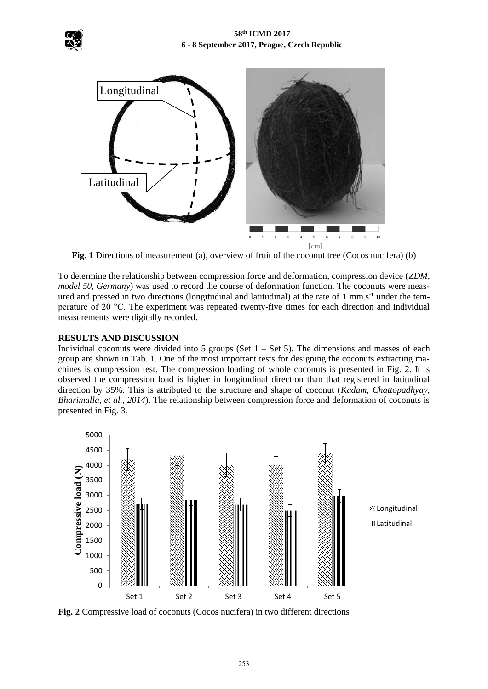



Fig. 1 Directions of measurement (a), overview of fruit of the coconut tree (Cocos nucifera) (b)

To determine the relationship between compression force and deformation, compression device (*ZDM, model 50, Germany*) was used to record the course of deformation function. The coconuts were measured and pressed in two directions (longitudinal and latitudinal) at the rate of 1 mm.s<sup>-1</sup> under the temperature of 20 °C. The experiment was repeated twenty-five times for each direction and individual measurements were digitally recorded.

## **RESULTS AND DISCUSSION**

Individual coconuts were divided into 5 groups (Set  $1 -$  Set 5). The dimensions and masses of each group are shown in Tab. 1. One of the most important tests for designing the coconuts extracting machines is compression test. The compression loading of whole coconuts is presented in Fig. 2. It is observed the compression load is higher in longitudinal direction than that registered in latitudinal direction by 35%. This is attributed to the structure and shape of coconut (*Kadam, Chattopadhyay, Bharimalla, et al., 2014*). The relationship between compression force and deformation of coconuts is presented in Fig. 3.



**Fig. 2** Compressive load of coconuts (Cocos nucifera) in two different directions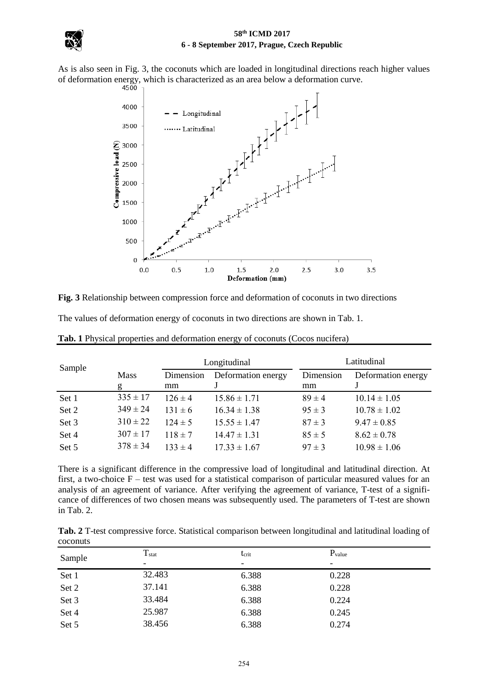

### **58th ICMD 2017 6 - 8 September 2017, Prague, Czech Republic**

As is also seen in Fig. 3, the coconuts which are loaded in longitudinal directions reach higher values



**Fig. 3** Relationship between compression force and deformation of coconuts in two directions

The values of deformation energy of coconuts in two directions are shown in Tab. 1.

| Sample |              | Longitudinal |                    | Latitudinal |                    |
|--------|--------------|--------------|--------------------|-------------|--------------------|
|        | <b>Mass</b>  | Dimension    | Deformation energy | Dimension   | Deformation energy |
|        | g            | mm           |                    | mm          |                    |
| Set 1  | $335 \pm 17$ | $126 \pm 4$  | $15.86 \pm 1.71$   | $89 \pm 4$  | $10.14 \pm 1.05$   |
| Set 2  | $349 \pm 24$ | $131 \pm 6$  | $16.34 \pm 1.38$   | $95 \pm 3$  | $10.78 \pm 1.02$   |
| Set 3  | $310 \pm 22$ | $124 \pm 5$  | $15.55 \pm 1.47$   | $87 \pm 3$  | $9.47 \pm 0.85$    |
| Set 4  | $307 \pm 17$ | $118 \pm 7$  | $14.47 \pm 1.31$   | $85 \pm 5$  | $8.62 \pm 0.78$    |
| Set 5  | $378 \pm 34$ | $133 \pm 4$  | $17.33 \pm 1.67$   | $97 \pm 3$  | $10.98 \pm 1.06$   |

**Tab. 1** Physical properties and deformation energy of coconuts (Cocos nucifera)

There is a significant difference in the compressive load of longitudinal and latitudinal direction. At first, a two-choice  $F$  – test was used for a statistical comparison of particular measured values for an analysis of an agreement of variance. After verifying the agreement of variance, T-test of a significance of differences of two chosen means was subsequently used. The parameters of T-test are shown in Tab. 2.

| Tab. 2 T-test compressive force. Statistical comparison between longitudinal and latitudinal loading of |  |  |
|---------------------------------------------------------------------------------------------------------|--|--|
| coconuts                                                                                                |  |  |

| Sample | $T_{stat}$<br>- | t <sub>crit</sub><br>$\overline{\phantom{a}}$ | $P_{value}$<br>- |
|--------|-----------------|-----------------------------------------------|------------------|
| Set 1  | 32.483          | 6.388                                         | 0.228            |
| Set 2  | 37.141          | 6.388                                         | 0.228            |
| Set 3  | 33.484          | 6.388                                         | 0.224            |
| Set 4  | 25.987          | 6.388                                         | 0.245            |
| Set 5  | 38.456          | 6.388                                         | 0.274            |